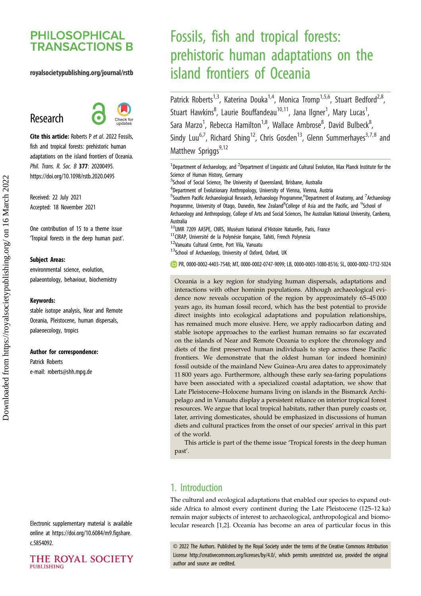## **PHILOSOPHICAL TRANSACTIONS B**

## royalsocietypublishing.org/journal/rstb

# Research



Cite this article: Roberts P et al. 2022 Fossils, fish and tropical forests: prehistoric human adaptations on the island frontiers of Oceania. Phil. Trans. R. Soc. B 377: 20200495. https://doi.org/10.1098/rstb.2020.0495

Received: 22 July 2021 Accepted: 18 November 2021

One contribution of 15 to a theme issue 'Tropical forests in the deep human past'.

#### Subject Areas:

environmental science, evolution, palaeontology, behaviour, biochemistry

#### Keywords:

stable isotope analysis, Near and Remote Oceania, Pleistocene, human dispersals, palaeoecology, tropics

#### Author for correspondence:

Patrick Roberts e-mail: [roberts@shh.mpg.de](mailto:roberts@shh.mpg.de)

Electronic supplementary material is available online at [https://doi.org/10.6084/m9.figshare.](https://doi.org/10.6084/m9.figshare.c.5854092) [c.5854092.](https://doi.org/10.6084/m9.figshare.c.5854092)

## THE ROYAL SOCIETY **PUBLISHING**

# Fossils, fish and tropical forests: prehistoric human adaptations on the island frontiers of Oceania

Patrick Roberts<sup>1,3</sup>, Katerina Douka<sup>1,4</sup>, Monica Tromp<sup>1,5,6</sup>, Stuart Bedford<sup>2,8</sup>, Stuart Hawkins<sup>8</sup>, Laurie Bouffandeau<sup>10,11</sup>, Jana Ilgner<sup>1</sup>, Mary Lucas<sup>1</sup> , Sara Marzo<sup>1</sup>, Rebecca Hamilton<sup>1,8</sup>, Wallace Ambrose<sup>8</sup>, David Bulbeck<sup>8</sup> .<br>, Sindy Luu<sup>6,7</sup>, Richard Shing<sup>12</sup>, Chris Gosden<sup>13</sup>, Glenn Summerhayes<sup>3,7,8</sup> and Matthew Spriggs<sup>9,12</sup>

<sup>1</sup>Department of Archaeology, and <sup>2</sup>Department of Linguistic and Cultural Evolution, Max Planck Institute for the Science of Human History, Germany

<sup>3</sup>School of Social Science, The University of Queensland, Brisbane, Australia

<sup>4</sup>Department of Evolutionary Anthropology, University of Vienna, Vienna, Austria

<sup>5</sup>Southern Pacific Archaeological Research, Archaeology Programme,<sup>6</sup>Department of Anatomy, and <sup>7</sup>Archaeology Programme, University of Otago, Dunedin, New Zealand<sup>8</sup>College of Asia and the Pacific, and <sup>9</sup>School of Archaeology and Anthropology, College of Arts and Social Sciences, The Australian National University, Canberra, Australia

 $10$ UMR 7209 AASPE, CNRS, Muséum National d'Histoire Naturelle, Paris, France

 $11$ CIRAP, Université de la Polynésie française, Tahiti, French Polynesia

<sup>12</sup>Vanuatu Cultural Centre, Port Vila, Vanuatu

13School of Archaeology, University of Oxford, Oxford, UK

PR, [0000-0002-4403-7548](http://orcid.org/0000-0002-4403-7548); MT, [0000-0002-0747-9099;](http://orcid.org/0000-0002-0747-9099) LB, [0000-0003-1080-8516;](http://orcid.org/0000-0003-1080-8516) SL, [0000-0002-1712-5024](http://orcid.org/0000-0002-1712-5024)

Oceania is a key region for studying human dispersals, adaptations and interactions with other hominin populations. Although archaeological evidence now reveals occupation of the region by approximately 65–45 000 years ago, its human fossil record, which has the best potential to provide direct insights into ecological adaptations and population relationships, has remained much more elusive. Here, we apply radiocarbon dating and stable isotope approaches to the earliest human remains so far excavated on the islands of Near and Remote Oceania to explore the chronology and diets of the first preserved human individuals to step across these Pacific frontiers. We demonstrate that the oldest human (or indeed hominin) fossil outside of the mainland New Guinea-Aru area dates to approximately 11 800 years ago. Furthermore, although these early sea-faring populations have been associated with a specialized coastal adaptation, we show that Late Pleistocene–Holocene humans living on islands in the Bismarck Archipelago and in Vanuatu display a persistent reliance on interior tropical forest resources. We argue that local tropical habitats, rather than purely coasts or, later, arriving domesticates, should be emphasized in discussions of human diets and cultural practices from the onset of our species' arrival in this part of the world.

This article is part of the theme issue 'Tropical forests in the deep human past'.

## 1. Introduction

The cultural and ecological adaptations that enabled our species to expand outside Africa to almost every continent during the Late Pleistocene (125–12 ka) remain major subjects of interest to archaeological, anthropological and biomolecular research [[1](#page-9-0),[2](#page-9-0)]. Oceania has become an area of particular focus in this

© 2022 The Authors. Published by the Royal Society under the terms of the Creative Commons Attribution License<http://creativecommons.org/licenses/by/4.0/>, which permits unrestricted use, provided the original author and source are credited.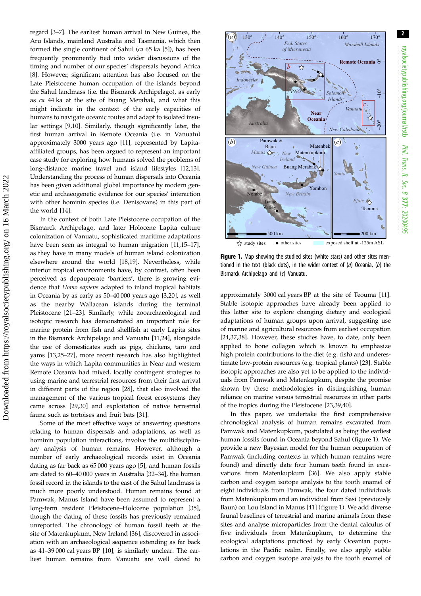<span id="page-1-0"></span>regard [\[3](#page-9-0)–[7\]](#page-9-0). The earliest human arrival in New Guinea, the Aru Islands, mainland Australia and Tasmania, which then formed the single continent of Sahul ( $ca$  6[5](#page-9-0) ka [5]), has been frequently prominently tied into wider discussions of the timing and number of our species' dispersals beyond Africa [\[8\]](#page-9-0). However, significant attention has also focused on the Late Pleistocene human occupation of the islands beyond the Sahul landmass (i.e. the Bismarck Archipelago), as early as ca 44 ka at the site of Buang Merabak, and what this might indicate in the context of the early capacities of humans to navigate oceanic routes and adapt to isolated insular settings [\[9,10\]](#page-9-0). Similarly, though significantly later, the first human arrival in Remote Oceania (i.e. in Vanuatu) approximately 3000 years ago [[11](#page-9-0)], represented by Lapitaaffiliated groups, has been argued to represent an important case study for exploring how humans solved the problems of long-distance marine travel and island lifestyles [\[12](#page-9-0)[,13](#page-10-0)]. Understanding the process of human dispersals into Oceania has been given additional global importance by modern genetic and archaeogenetic evidence for our species' interaction with other hominin species (i.e. Denisovans) in this part of the world [\[14](#page-10-0)].

In the context of both Late Pleistocene occupation of the Bismarck Archipelago, and later Holocene Lapita culture colonization of Vanuatu, sophisticated maritime adaptations have been seen as integral to human migration [\[11,](#page-9-0)[15](#page-10-0)–[17](#page-10-0)], as they have in many models of human island colonization elsewhere around the world [[18,19](#page-10-0)]. Nevertheless, while interior tropical environments have, by contrast, often been perceived as depauperate 'barriers', there is growing evidence that Homo sapiens adapted to inland tropical habitats in Oceania by as early as 50–40 000 years ago [\[3](#page-9-0)[,20](#page-10-0)], as well as the nearby Wallacean islands during the terminal Pleistocene [\[21](#page-10-0)–[23\]](#page-10-0). Similarly, while zooarchaeological and isotopic research has demonstrated an important role for marine protein from fish and shellfish at early Lapita sites in the Bismarck Archipelago and Vanuatu [\[11](#page-9-0)[,24](#page-10-0)], alongside the use of domesticates such as pigs, chickens, taro and yams [\[13,25](#page-10-0)–[27\]](#page-10-0), more recent research has also highlighted the ways in which Lapita communities in Near and western Remote Oceania had mixed, locally contingent strategies to using marine and terrestrial resources from their first arrival in different parts of the region [[28\]](#page-10-0), that also involved the management of the various tropical forest ecosystems they came across [\[29,30](#page-10-0)] and exploitation of native terrestrial fauna such as tortoises and fruit bats [\[31](#page-10-0)].

Some of the most effective ways of answering questions relating to human dispersals and adaptations, as well as hominin population interactions, involve the multidisciplinary analysis of human remains. However, although a number of early archaeological records exist in Oceania dating as far back as 65 000 years ago [\[5\]](#page-9-0), and human fossils are dated to 60–40 000 years in Australia [[32](#page-10-0)–[34](#page-10-0)], the human fossil record in the islands to the east of the Sahul landmass is much more poorly understood. Human remains found at Pamwak, Manus Island have been assumed to represent a long-term resident Pleistocene–Holocene population [\[35](#page-10-0)], though the dating of these fossils has previously remained unreported. The chronology of human fossil teeth at the site of Matenkupkum, New Ireland [\[36](#page-10-0)], discovered in association with an archaeological sequence extending as far back as 41–39 000 cal years BP [\[10](#page-9-0)], is similarly unclear. The earliest human remains from Vanuatu are well dated to



royalsocietypublishing.org/journal/rstb

royalsocietypublishing.org/journal/rstb

Phil. Trans.

 R. Soc. $\sigma$ 

377: 20200495

Figure 1. Map showing the studied sites (white stars) and other sites mentioned in the text (black dots), in the wider context of  $(a)$  Oceania,  $(b)$  the Bismarck Archipelago and (c) Vanuatu.

approximately 3000 cal years BP at the site of Teouma [\[11\]](#page-9-0). Stable isotopic approaches have already been applied to this latter site to explore changing dietary and ecological adaptations of human groups upon arrival, suggesting use of marine and agricultural resources from earliest occupation [[24,37,38](#page-10-0)]. However, these studies have, to date, only been applied to bone collagen which is known to emphasize high protein contributions to the diet (e.g. fish) and underestimate low-protein resources (e.g. tropical plants) [\[23](#page-10-0)]. Stable isotopic approaches are also yet to be applied to the individuals from Pamwak and Matenkupkum, despite the promise shown by these methodologies in distinguishing human reliance on marine versus terrestrial resources in other parts of the tropics during the Pleistocene [[23,39,40](#page-10-0)].

In this paper, we undertake the first comprehensive chronological analysis of human remains excavated from Pamwak and Matenkupkum, postulated as being the earliest human fossils found in Oceania beyond Sahul (figure 1). We provide a new Bayesian model for the human occupation of Pamwak (including contexts in which human remains were found) and directly date four human teeth found in excavations from Matenkupkum [[36\]](#page-10-0). We also apply stable carbon and oxygen isotope analysis to the tooth enamel of eight individuals from Pamwak, the four dated individuals from Matenkupkum and an individual from Sasi (previously Baun) on Lou Island in Manus [\[41](#page-10-0)] (figure 1). We add diverse faunal baselines of terrestrial and marine animals from these sites and analyse microparticles from the dental calculus of five individuals from Matenkupkum, to determine the ecological adaptations practiced by early Oceanian populations in the Pacific realm. Finally, we also apply stable carbon and oxygen isotope analysis to the tooth enamel of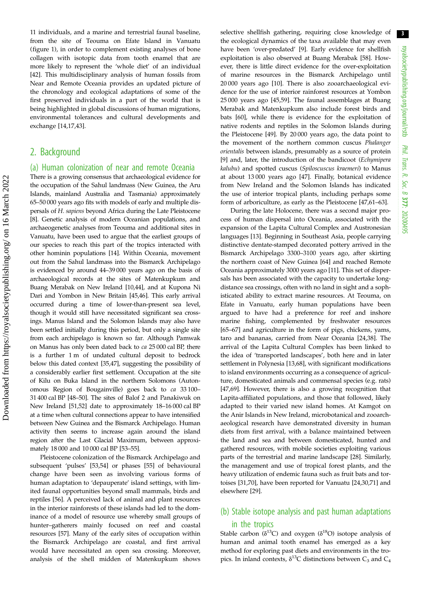11 individuals, and a marine and terrestrial faunal baseline, from the site of Teouma on Efate Island in Vanuatu [\(figure 1\)](#page-1-0), in order to complement existing analyses of bone collagen with isotopic data from tooth enamel that are more likely to represent the 'whole diet' of an individual [\[42](#page-10-0)]. This multidisciplinary analysis of human fossils from Near and Remote Oceania provides an updated picture of the chronology and ecological adaptations of some of the first preserved individuals in a part of the world that is being highlighted in global discussions of human migrations, environmental tolerances and cultural developments and exchange [[14,17,43](#page-10-0)].

## 2. Background

## (a) Human colonization of near and remote Oceania

There is a growing consensus that archaeological evidence for the occupation of the Sahul landmass (New Guinea, the Aru Islands, mainland Australia and Tasmania) approximately 65–50 000 years ago fits with models of early and multiple dispersals of H. sapiens beyond Africa during the Late Pleistocene [\[8\]](#page-9-0). Genetic analysis of modern Oceanian populations, and archaeogenetic analyses from Teouma and additional sites in Vanuatu, have been used to argue that the earliest groups of our species to reach this part of the tropics interacted with other hominin populations [\[14](#page-10-0)]. Within Oceania, movement out from the Sahul landmass into the Bismarck Archipelago is evidenced by around 44–39 000 years ago on the basis of archaeological records at the sites of Matenkupkum and Buang Merabak on New Ireland [\[10,](#page-9-0)[44\]](#page-10-0), and at Kupona Ni Dari and Yombon in New Britain [[45,46\]](#page-10-0). This early arrival occurred during a time of lower-than-present sea level, though it would still have necessitated significant sea crossings. Manus Island and the Solomon Islands may also have been settled initially during this period, but only a single site from each archipelago is known so far. Although Pamwak on Manus has only been dated back to ca 25 000 cal BP, there is a further 1 m of undated cultural deposit to bedrock below this dated context [\[35,47](#page-10-0)], suggesting the possibility of a considerably earlier first settlement. Occupation at the site of Kilu on Buka Island in the northern Solomons (Autonomous Region of Bougainville) goes back to ca 33 100– 31 400 cal BP [\[48](#page-10-0)–[50](#page-11-0)]. The sites of Balof 2 and Panakiwuk on New Ireland [\[51,52](#page-11-0)] date to approximately 18–16 000 cal BP at a time when cultural connections appear to have intensified between New Guinea and the Bismarck Archipelago. Human activity then seems to increase again around the island region after the Last Glacial Maximum, between approximately 18 000 and 10 000 cal BP [[53](#page-11-0)–[55\]](#page-11-0).

Pleistocene colonization of the Bismarck Archipelago and subsequent 'pulses' [\[53,54](#page-11-0)] or phases [[55\]](#page-11-0) of behavioural change have been seen as involving various forms of human adaptation to 'depauperate' island settings, with limited faunal opportunities beyond small mammals, birds and reptiles [\[56](#page-11-0)]. A perceived lack of animal and plant resources in the interior rainforests of these islands had led to the dominance of a model of resource use whereby small groups of hunter–gatherers mainly focused on reef and coastal resources [\[57\]](#page-11-0). Many of the early sites of occupation within the Bismarck Archipelago are coastal, and first arrival would have necessitated an open sea crossing. Moreover, analysis of the shell midden of Matenkupkum shows

selective shellfish gathering, requiring close knowledge of the ecological dynamics of the taxa available that may even have been 'over-predated' [[9](#page-9-0)]. Early evidence for shellfish exploitation is also observed at Buang Merabak [\[58](#page-11-0)]. However, there is little direct evidence for the over-exploitation of marine resources in the Bismarck Archipelago until 20 000 years ago [\[10](#page-9-0)]. There is also zooarchaeological evidence for the use of interior rainforest resources at Yombon 25 000 years ago [\[45](#page-10-0)[,59](#page-11-0)]. The faunal assemblages at Buang Merabak and Matenkupkum also include forest birds and bats [[60\]](#page-11-0), while there is evidence for the exploitation of native rodents and reptiles in the Solomon Islands during the Pleistocene [\[49](#page-10-0)]. By 20 000 years ago, the data point to the movement of the northern common cuscus Phalanger orientalis between islands, presumably as a source of protein [[9](#page-9-0)] and, later, the introduction of the bandicoot (Echymipera kalubu) and spotted cuscus (Spiloscuscus kraemeri) to Manus at about 13 000 years ago [\[47](#page-10-0)]. Finally, botanical evidence from New Ireland and the Solomon Islands has indicated the use of interior tropical plants, including perhaps some form of arboriculture, as early as the Pleistocene [[47,](#page-10-0)[61](#page-11-0)–[63](#page-11-0)].

During the late Holocene, there was a second major process of human dispersal into Oceania, associated with the expansion of the Lapita Cultural Complex and Austronesian languages [\[13](#page-10-0)]. Beginning in Southeast Asia, people carrying distinctive dentate-stamped decorated pottery arrived in the Bismarck Archipelago 3300–3100 years ago, after skirting the northern coast of New Guinea [[64\]](#page-11-0) and reached Remote Oceania approximately 3000 years ago [\[11\]](#page-9-0). This set of dispersals has been associated with the capacity to undertake longdistance sea crossings, often with no land in sight and a sophisticated ability to extract marine resources. At Teouma, on Efate in Vanuatu, early human populations have been argued to have had a preference for reef and inshore marine fishing, complemented by freshwater resources [[65](#page-11-0)–[67](#page-11-0)] and agriculture in the form of pigs, chickens, yams, taro and bananas, carried from Near Oceania [\[24,38](#page-10-0)]. The arrival of the Lapita Cultural Complex has been linked to the idea of 'transported landscapes', both here and in later settlement in Polynesia [[13,](#page-10-0)[68](#page-11-0)], with significant modifications to island environments occurring as a consequence of agriculture, domesticated animals and commensal species (e.g. rats) [[47,](#page-10-0)[69\]](#page-11-0). However, there is also a growing recognition that Lapita-affiliated populations, and those that followed, likely adapted to their varied new island homes. At Kamgot on the Anir Islands in New Ireland, microbotanical and zooarchaeological research have demonstrated diversity in human diets from first arrival, with a balance maintained between the land and sea and between domesticated, hunted and gathered resources, with mobile societies exploiting various parts of the terrestrial and marine landscape [\[28](#page-10-0)]. Similarly, the management and use of tropical forest plants, and the heavy utilization of endemic fauna such as fruit bats and tortoises [[31,](#page-10-0)[70\]](#page-11-0), have been reported for Vanuatu [\[24](#page-10-0),[30,](#page-10-0)[71\]](#page-11-0) and elsewhere [[29\]](#page-10-0).

## (b) Stable isotope analysis and past human adaptations in the tropics

Stable carbon ( $\delta^{13}$ C) and oxygen ( $\delta^{18}$ O) isotope analysis of human and animal tooth enamel has emerged as a key method for exploring past diets and environments in the tropics. In inland contexts,  $\delta^{13}$ C distinctions between C<sub>3</sub> and C<sub>4</sub>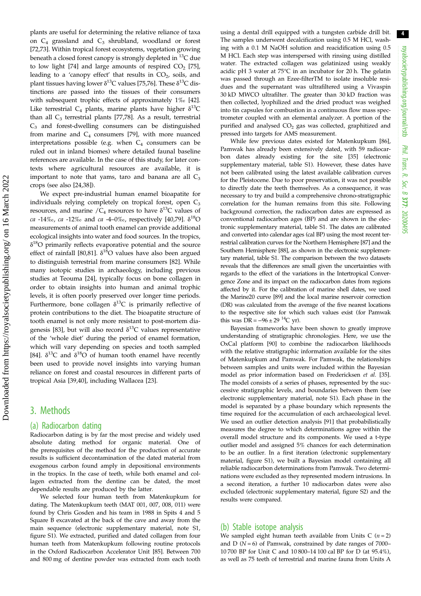plants are useful for determining the relative reliance of taxa on  $C_4$  grassland and  $C_3$  shrubland, woodland or forest [\[72](#page-11-0),[73\]](#page-11-0). Within tropical forest ecosystems, vegetation growing beneath a closed forest canopy is strongly depleted in <sup>13</sup>C due to low light [\[74](#page-11-0)] and large amounts of respired  $CO<sub>2</sub>$  [\[75](#page-11-0)], leading to a 'canopy effect' that results in  $CO<sub>2</sub>$ , soils, and plant tissues having lower  $\delta^{13}$ C values [[75,76](#page-11-0)]. These  $\delta^{13}$ C distinctions are passed into the tissues of their consumers with subsequent trophic effects of approximately 1‰ [\[42](#page-10-0)]. Like terrestrial  $C_4$  plants, marine plants have higher  $\delta^{13}C$ than all  $C_3$  terrestrial plants [[77,78\]](#page-11-0). As a result, terrestrial C3 and forest-dwelling consumers can be distinguished from marine and  $C_4$  consumers [\[79](#page-11-0)], with more nuanced interpretations possible (e.g. when  $C_4$  consumers can be ruled out in inland biomes) where detailed faunal baseline references are available. In the case of this study, for later contexts where agricultural resources are available, it is important to note that yams, taro and banana are all  $C_3$ crops (see also [\[24](#page-10-0),[38\]](#page-10-0)).

We expect pre-industrial human enamel bioapatite for individuals relying completely on tropical forest, open  $C_3$ resources, and marine / $C_4$  resources to have  $\delta^{13}C$  values of ca -14‰, ca -12‰ and ca -4–0‰, respectively [\[40](#page-10-0)[,79](#page-11-0)].  $\delta^{18}O$ measurements of animal tooth enamel can provide additional ecological insights into water and food sources. In the tropics,  $\delta^{18}$ O primarily reflects evaporative potential and the source effect of rainfall [[80,81](#page-11-0)].  $\delta^{18}$ O values have also been argued to distinguish terrestrial from marine consumers [[82\]](#page-11-0). While many isotopic studies in archaeology, including previous studies at Teouma [\[24](#page-10-0)], typically focus on bone collagen in order to obtain insights into human and animal trophic levels, it is often poorly preserved over longer time periods. Furthermore, bone collagen  $\delta^{13}C$  is primarily reflective of protein contributions to the diet. The bioapatite structure of tooth enamel is not only more resistant to post-mortem dia-genesis [[83\]](#page-11-0), but will also record  $\delta^{13}$ C values representative of the 'whole diet' during the period of enamel formation, which will vary depending on species and tooth sampled [\[84](#page-11-0)].  $\delta^{13}$ C and  $\delta^{18}$ O of human tooth enamel have recently been used to provide novel insights into varying human reliance on forest and coastal resources in different parts of tropical Asia [\[39,40](#page-10-0)], including Wallacea [[23\]](#page-10-0).

## 3. Methods

#### (a) Radiocarbon dating

Radiocarbon dating is by far the most precise and widely used absolute dating method for organic material. One of the prerequisites of the method for the production of accurate results is sufficient decontamination of the dated material from exogenous carbon found amply in depositional environments in the tropics. In the case of teeth, while both enamel and collagen extracted from the dentine can be dated, the most dependable results are produced by the latter.

We selected four human teeth from Matenkupkum for dating. The Matenkupkum teeth (MAT 001, 007, 008, 011) were found by Chris Gosden and his team in 1988 in Spits 4 and 5 Square B excavated at the back of the cave and away from the main sequence (electronic supplementary material, note S1, figure S1). We extracted, purified and dated collagen from four human teeth from Matenkupkum following routine protocols in the Oxford Radiocarbon Accelerator Unit [[85](#page-11-0)]. Between 700 and 800 mg of dentine powder was extracted from each tooth

using a dental drill equipped with a tungsten carbide drill bit. The samples underwent decalcification using 0.5 M HCl, washing with a 0.1 M NaOH solution and reacidification using 0.5 M HCl. Each step was interspersed with rinsing using distilled water. The extracted collagen was gelatinized using weakly acidic pH 3 water at 75°C in an incubator for 20 h. The gelatin was passed through an Ezee-filterTM to isolate insoluble residues and the supernatant was ultrafiltered using a Vivaspin 30 kD MWCO ultrafilter. The greater than 30 kD fraction was then collected, lyophilized and the dried product was weighed into tin capsules for combustion in a continuous flow mass spectrometer coupled with an elemental analyzer. A portion of the purified and analysed  $CO<sub>2</sub>$  gas was collected, graphitized and pressed into targets for AMS measurement.

While few previous dates existed for Matenkupkum [\[86\]](#page-11-0), Pamwak has already been extensively dated, with 59 radiocarbon dates already existing for the site [\[35\]](#page-10-0) (electronic supplementary material, table S1). However, these dates have not been calibrated using the latest available calibration curves for the Pleistocene. Due to poor preservation, it was not possible to directly date the teeth themselves. As a consequence, it was necessary to try and build a comprehensive chrono-stratigraphic correlation for the human remains from this site. Following background correction, the radiocarbon dates are expressed as conventional radiocarbon ages (BP) and are shown in the electronic supplementary material, table S1. The dates are calibrated and converted into calendar ages (cal BP) using the most recent terrestrial calibration curves for the Northern Hemisphere [[87\]](#page-11-0) and the Southern Hemisphere [[88\]](#page-11-0), as shown in the electronic supplementary material, table S1. The comparison between the two datasets reveals that the differences are small given the uncertainties with regards to the effect of the variations in the Intertropical Convergence Zone and its impact on the radiocarbon dates from regions affected by it. For the calibration of marine shell dates, we used the Marine20 curve [\[89](#page-11-0)] and the local marine reservoir correction (DR) was calculated from the average of the five nearest locations to the respective site for which such values exist (for Pamwak this was  $\overline{DR} = -96 \pm 29$  <sup>14</sup>C yr).

Bayesian frameworks have been shown to greatly improve understanding of stratigraphic chronologies. Here, we use the OxCal platform [\[90\]](#page-11-0) to combine the radiocarbon likelihoods with the relative stratigraphic information available for the sites of Matenkupkum and Pamwak. For Pamwak, the relationships between samples and units were included within the Bayesian model as prior information based on Fredericksen et al. [\[35\]](#page-10-0). The model consists of a series of phases, represented by the successive stratigraphic levels, and boundaries between them (see electronic supplementary material, note S1). Each phase in the model is separated by a phase boundary which represents the time required for the accumulation of each archaeological level. We used an outlier detection analysis [\[91\]](#page-11-0) that probabilistically measures the degree to which determinations agree within the overall model structure and its components. We used a t-type outlier model and assigned 5% chances for each determination to be an outlier. In a first iteration (electronic supplementary material, figure S1), we built a Bayesian model containing all reliable radiocarbon determinations from Pamwak. Two determinations were excluded as they represented modern intrusions. In a second iteration, a further 10 radiocarbon dates were also excluded (electronic supplementary material, figure S2) and the results were compared.

## (b) Stable isotope analysis

We sampled eight human teeth available from Units C  $(n = 2)$ and D ( $N = 6$ ) of Pamwak, constrained by date ranges of 7000– 10 700 BP for Unit C and 10 800–14 100 cal BP for D (at 95.4%), as well as 75 teeth of terrestrial and marine fauna from Units A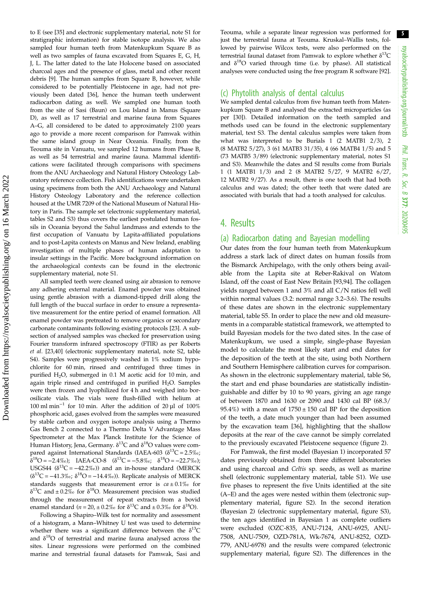to E (see [[35](#page-10-0)] and electronic supplementary material, note S1 for stratigraphic information) for stable isotope analysis. We also sampled four human teeth from Matenkupkum Square B as well as two samples of fauna excavated from Squares E, G, H, J, L. The latter dated to the late Holocene based on associated charcoal ages and the presence of glass, metal and other recent debris [[9\]](#page-9-0). The human samples from Square B, however, while considered to be potentially Pleistocene in age, had not previously been dated [\[36\]](#page-10-0), hence the human teeth underwent radiocarbon dating as well. We sampled one human tooth from the site of Sasi (Baun) on Lou Island in Manus (Square D), as well as 17 terrestrial and marine fauna from Squares A–G, all considered to be dated to approximately 2100 years ago to provide a more recent comparison for Pamwak within the same island group in Near Oceania. Finally, from the Teouma site in Vanuatu, we sampled 12 humans from Phase B, as well as 54 terrestrial and marine fauna. Mammal identifications were facilitated through comparisons with specimens from the ANU Archaeology and Natural History Osteology Laboratory reference collection. Fish identifications were undertaken using specimens from both the ANU Archaeology and Natural History Osteology Laboratory and the reference collection housed at the UMR 7209 of the National Museum of Natural History in Paris. The sample set (electronic supplementary material, tables S2 and S3) thus covers the earliest postulated human fossils in Oceania beyond the Sahul landmass and extends to the first occupation of Vanuatu by Lapita-affiliated populations and to post-Lapita contexts on Manus and New Ireland, enabling investigation of multiple phases of human adaptation to insular settings in the Pacific. More background information on the archaeological contexts can be found in the electronic supplementary material, note S1.

All sampled teeth were cleaned using air abrasion to remove any adhering external material. Enamel powder was obtained using gentle abrasion with a diamond-tipped drill along the full length of the buccal surface in order to ensure a representative measurement for the entire period of enamel formation. All enamel powder was pretreated to remove organics or secondary carbonate contaminants following existing protocols [[23](#page-10-0)]. A subsection of analysed samples was checked for preservation using Fourier transform infrared spectroscopy (FTIR) as per Roberts et al. [[23,40](#page-10-0)] (electronic supplementary material, note S2, table S4). Samples were progressively washed in 1% sodium hypochlorite for 60 min, rinsed and centrifuged three times in purified H<sub>2</sub>O, submerged in 0.1 M acetic acid for 10 min, and again triple rinsed and centrifuged in purified  $H_2O$ . Samples were then frozen and lyophilized for 4 h and weighed into borosilicate vials. The vials were flush-filled with helium at 100 ml min−<sup>1</sup> for 10 min. After the addition of 20 µl of 100% phosphoric acid, gases evolved from the samples were measured by stable carbon and oxygen isotope analysis using a Thermo Gas Bench 2 connected to a Thermo Delta V Advantage Mass Spectrometer at the Max Planck Institute for the Science of Human History, Jena, Germany.  $\delta^{13}$ C and  $\delta^{18}$ O values were compared against International Standards (IAEA-603 ( $\delta^{13}C = 2.5\%$ ;  $\delta^{18}O = -2.4\%$ ; IAEA-CO-8 ( $\delta^{13}C = -5.8\%$ ;  $\delta^{18}O = -22.7\%$ ); USGS44 ( $\delta^{13}$ C = -42.2‰)) and an in-house standard (MERCK  $(δ<sup>13</sup>C = -41.3‰; δ<sup>18</sup>O = -14.4‰).$  Replicate analysis of MERCK standards suggests that measurement error is  $ca \pm 0.1\%$  for  $δ<sup>13</sup>C$  and ± 0.2‰ for δ<sup>18</sup>O. Measurement precision was studied through the measurement of repeat extracts from a bovid enamel standard ( $n = 20, \pm 0.2\%$  for  $\delta^{13}C$  and  $\pm 0.3\%$  for  $\delta^{18}O$ ).

Following a Shapiro–Wilk test for normality and assessment of a histogram, a Mann–Whitney U test was used to determine whether there was a significant difference between the  $\delta^{13}C$ and  $\delta^{18}$ O of terrestrial and marine fauna analysed across the sites. Linear regressions were performed on the combined marine and terrestrial faunal datasets for Pamwak, Sasi and

Teouma, while a separate linear regression was performed for just the terrestrial fauna at Teouma. Kruskal–Wallis tests, followed by pairwise Wilcox tests, were also performed on the terrestrial faunal dataset from Pamwak to explore whether  $\delta^{13}C$ and  $\delta^{18}O$  varied through time (i.e. by phase). All statistical analyses were conducted using the free program R software [\[92\]](#page-12-0).

### (c) Phytolith analysis of dental calculus

We sampled dental calculus from five human teeth from Matenkupkum Square B and analysed the extracted microparticles (as per [[30](#page-10-0)]). Detailed information on the teeth sampled and methods used can be found in the electronic supplementary material, text S3. The dental calculus samples were taken from what was interpreted to be Burials 1 (2 MATB1 2/3), 2 (8 MATB2 5/27), 3 (61 MATB3 31/35), 4 (66 MATB4 1/5) and 5 (73 MATB5 3/89) (electronic supplementary material, notes S1 and S3). Meanwhile the dates and SI results come from Burials 1 (1 MATB1 1/3) and 2 (8 MATB2 5/27, 9 MATB2 6/27, 12 MATB2 9/27). As a result, there is one tooth that had both calculus and was dated; the other teeth that were dated are associated with burials that had a tooth analysed for calculus.

## 4. Results

## (a) Radiocarbon dating and Bayesian modelling

Our dates from the four human teeth from Matenkupkum address a stark lack of direct dates on human fossils from the Bismarck Archipelago, with the only others being available from the Lapita site at Reber-Rakival on Watom Island, off the coast of East New Britain [[93,94\]](#page-12-0). The collagen yields ranged between 1 and 3% and all C/N ratios fell well within normal values (3.2: normal range 3.2–3.6). The results of these dates are shown in the electronic supplementary material, table S5. In order to place the new and old measurements in a comparable statistical framework, we attempted to build Bayesian models for the two dated sites. In the case of Matenkupkum, we used a simple, single-phase Bayesian model to calculate the most likely start and end dates for the deposition of the teeth at the site, using both Northern and Southern Hemisphere calibration curves for comparison. As shown in the electronic supplementary material, table S6, the start and end phase boundaries are statistically indistinguishable and differ by 10 to 90 years, giving an age range of between 1870 and 1630 or 2090 and 1430 cal BP (68.3/ 95.4%) with a mean of  $1750 \pm 150$  cal BP for the deposition of the teeth, a date much younger than had been assumed by the excavation team [\[36](#page-10-0)], highlighting that the shallow deposits at the rear of the cave cannot be simply correlated to the previously excavated Pleistocene sequence [\(figure 2\)](#page-5-0).

For Pamwak, the first model (Bayesian 1) incorporated 57 dates previously obtained from three different laboratories and using charcoal and Celtis sp. seeds, as well as marine shell (electronic supplementary material, table S1). We use five phases to represent the five Units identified at the site (A–E) and the ages were nested within them (electronic supplementary material, figure S2). In the second iteration (Bayesian 2) (electronic supplementary material, figure S3), the ten ages identified in Bayesian 1 as complete outliers were excluded (OZC-835, ANU-7124, ANU-6925, ANU-7508, ANU-7509, OZD-781A, Wk-7674, ANU-8252, OZD-779, ANU-6978) and the results were compared (electronic supplementary material, figure S2). The differences in the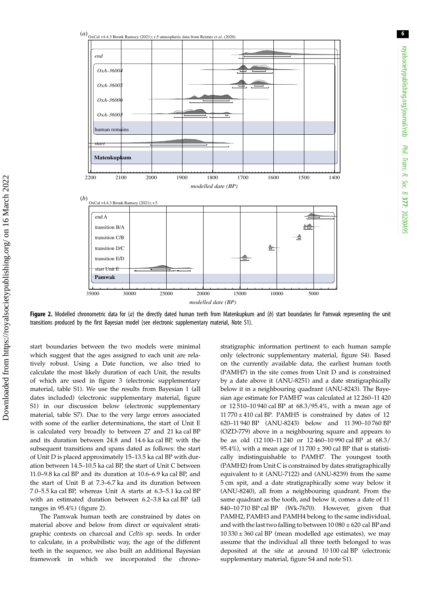<span id="page-5-0"></span>

Figure 2. Modelled chronometric data for (a) the directly dated human teeth from Matenkupkum and (b) start boundaries for Pamwak representing the unit transitions produced by the first Bayesian model (see electronic supplementary material, Note S1).

start boundaries between the two models were minimal which suggest that the ages assigned to each unit are relatively robust. Using a Date function, we also tried to calculate the most likely duration of each Unit, the results of which are used in [figure 3](#page-6-0) (electronic supplementary material, table S1). We use the results from Bayesian 1 (all dates included) (electronic supplementary material, figure S1) in our discussion below (electronic supplementary material, table S7). Due to the very large errors associated with some of the earlier determinations, the start of Unit E is calculated very broadly to between 27 and 21 ka cal BP and its duration between 24.8 and 14.6 ka cal BP, with the subsequent transitions and spans dated as follows: the start of Unit D is placed approximately 15–13.5 ka cal BP with duration between 14.5–10.5 ka cal BP, the start of Unit C between 11.0–9.8 ka cal BP and its duration at 10.6–6.9 ka cal BP, and the start of Unit B at 7.3–6.7 ka and its duration between 7.0–5.5 ka cal BP, whereas Unit A starts at 6.3–5.1 ka cal BP with an estimated duration between 6.2–3.8 ka cal BP (all ranges in 95.4%) (figure 2).

The Pamwak human teeth are constrained by dates on material above and below from direct or equivalent stratigraphic contexts on charcoal and Celtis sp. seeds. In order to calculate, in a probabilistic way, the age of the different teeth in the sequence, we also built an additional Bayesian framework in which we incorporated the chronostratigraphic information pertinent to each human sample only (electronic supplementary material, figure S4). Based on the currently available data, the earliest human tooth (PAMH7) in the site comes from Unit D and is constrained by a date above it (ANU-8251) and a date stratigraphically below it in a neighbouring quadrant (ANU-8243). The Bayesian age estimate for PAMH7 was calculated at 12 260–11 420 or 12 510–10 940 cal BP at 68.3/95.4%, with a mean age of  $11 770 \pm 410$  cal BP. PAMH5 is constrained by dates of 12 620–11 940 BP (ANU-8243) below and 11 390–10 760 BP (OZD-779) above in a neighbouring square and appears to be as old (12 100–11 240 or 12 460–10 990 cal BP at 68.3/ 95.4%), with a mean age of  $11700 \pm 390$  cal BP that is statistically indistinguishable to PAMH7. The youngest tooth (PAMH2) from Unit C is constrained by dates stratigraphically equivalent to it (ANU-7122) and (ANU-8239) from the same 5 cm spit, and a date stratigraphically some way below it (ANU-8240), all from a neighbouring quadrant. From the same quadrant as the tooth, and below it, comes a date of 11 840–10 710 BP cal BP (Wk-7670). However, given that PAMH2, PAMH3 and PAMH4 belong to the same individual, and with the last two falling to between  $10080 \pm 620$  cal BP and  $10\,330 \pm 360$  cal BP (mean modelled age estimates), we may assume that the individual all three teeth belonged to was deposited at the site at around 10 100 cal BP (electronic supplementary material, figure S4 and note S1).

6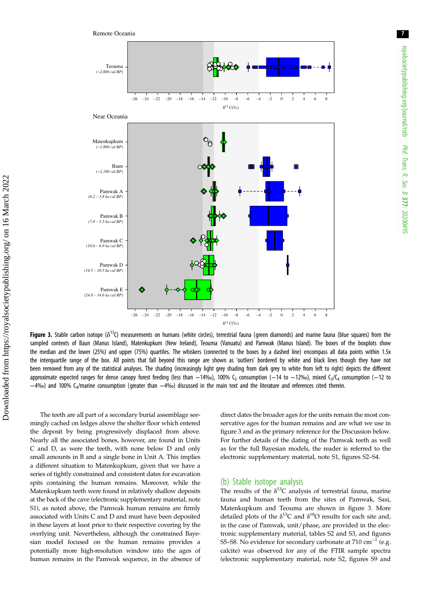<span id="page-6-0"></span>

**Figure 3.** Stable carbon isotope ( $\delta^{13}$ C) measurements on humans (white circles), terrestrial fauna (green diamonds) and marine fauna (blue squares) from the sampled contexts of Baun (Manus Island), Matenkupkum (New Ireland), Teouma (Vanuatu) and Pamwak (Manus Island). The boxes of the boxplots show the median and the lower (25%) and upper (75%) quartiles. The whiskers (connected to the boxes by a dashed line) encompass all data points within 1.5x the interquartile range of the box. All points that fall beyond this range are shown as 'outliers' bordered by white and black lines though they have not been removed from any of the statistical analyses. The shading (increasingly light grey shading from dark grey to white from left to right) depicts the different approximate expected ranges for dense canopy forest feeding (less than −14‰), 100% C<sub>3</sub> consumption (−14 to −12‰), mixed C<sub>3</sub>/C<sub>4</sub> consumption (−12 to −4‰) and 100% C4/marine consumption (greater than −4‰) discussed in the main text and the literature and references cited therein.

The teeth are all part of a secondary burial assemblage seemingly cached on ledges above the shelter floor which entered the deposit by being progressively displaced from above. Nearly all the associated bones, however, are found in Units C and D, as were the teeth, with none below D and only small amounts in B and a single bone in Unit A. This implies a different situation to Matenkupkum, given that we have a series of tightly constrained and consistent dates for excavation spits containing the human remains. Moreover, while the Matenkupkum teeth were found in relatively shallow deposits at the back of the cave (electronic supplementary material, note S1), as noted above, the Pamwak human remains are firmly associated with Units C and D and must have been deposited in these layers at least prior to their respective covering by the overlying unit. Nevertheless, although the constrained Bayesian model focused on the human remains provides a potentially more high-resolution window into the ages of human remains in the Pamwak sequence, in the absence of direct dates the broader ages for the units remain the most conservative ages for the human remains and are what we use in figure 3 and as the primary reference for the Discussion below. For further details of the dating of the Pamwak teeth as well as for the full Bayesian models, the reader is referred to the electronic supplementary material, note S1, figures S2–S4.

#### (b) Stable isotope analysis

The results of the  $\delta^{13}$ C analysis of terrestrial fauna, marine fauna and human teeth from the sites of Pamwak, Sasi, Matenkupkum and Teouma are shown in figure 3. More detailed plots of the  $\delta^{13}$ C and  $\delta^{18}$ O results for each site and, in the case of Pamwak, unit/phase, are provided in the electronic supplementary material, tables S2 and S3, and figures S5–S8. No evidence for secondary carbonate at 710 cm<sup>-1</sup> (e.g. calcite) was observed for any of the FTIR sample spectra (electronic supplementary material, note S2, figures S9 and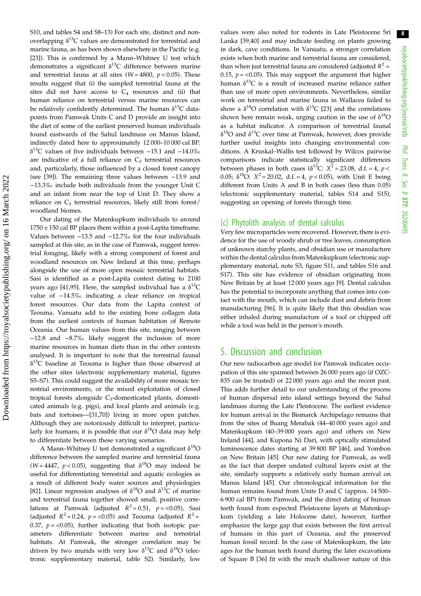S10, and tables S4 and S8–13) For each site, distinct and nonoverlapping  $\delta^{13}C$  values are demonstrated for terrestrial and marine fauna, as has been shown elsewhere in the Pacific (e.g. [\[23](#page-10-0)]). This is confirmed by a Mann–Whitney U test which demonstrates a significant  $\delta^{13}$ C difference between marine and terrestrial fauna at all sites ( $W = 4800$ ,  $p < 0.05$ ). These results suggest that (i) the sampled terrestrial fauna at the sites did not have access to  $C_4$  resources and (ii) that human reliance on terrestrial versus marine resources can be relatively confidently determined. The human  $\delta^{13}C$  datapoints from Pamwak Units C and D provide an insight into the diet of some of the earliest preserved human individuals found eastwards of the Sahul landmass on Manus Island, indirectly dated here to approximately 12 000–10 000 cal BP. δ13C values of five individuals between −15.1 and −14.0‰ are indicative of a full reliance on  $C_3$  terrestrial resources and, particularly, those influenced by a closed forest canopy (see [[39\]](#page-10-0)). The remaining three values between −13.9 and −13.3‰ include both individuals from the younger Unit C and an infant from near the top of Unit D. They show a reliance on  $C_3$  terrestrial resources, likely still from forest/ woodland biomes.

Our dating of the Matenkupkum individuals to around  $1750 \pm 150$  cal BP places them within a post-Lapita timeframe. Values between −13.5 and −12.7‰ for the four individuals sampled at this site, as in the case of Pamwak, suggest terrestrial foraging, likely with a strong component of forest and woodland resources on New Ireland at this time, perhaps alongside the use of more open mosaic terrestrial habitats. Sasi is identified as a post-Lapita context dating to 2100 years ago [\[41](#page-10-0)[,95](#page-12-0)]. Here, the sampled individual has a  $\delta^{13}C$ value of −14.5‰ indicating a clear reliance on tropical forest resources. Our data from the Lapita context of Teouma, Vanuatu add to the existing bone collagen data from the earliest contexts of human habitation of Remote Oceania. Our human values from this site, ranging between −12.8 and −8.7‰ likely suggest the inclusion of more marine resources in human diets than in the other contexts analysed. It is important to note that the terrestrial faunal  $\delta^{13}$ C baseline at Teouma is higher than those observed at the other sites (electronic supplementary material, figures S5–S7). This could suggest the availability of more mosaic terrestrial environments, or the mixed exploitation of closed tropical forests alongside C<sub>3</sub>-domesticated plants, domesticated animals (e.g. pigs), and local plants and animals (e.g. bats and tortoises—[\[31](#page-10-0)[,70](#page-11-0)]) living in more open patches. Although they are notoriously difficult to interpret, particularly for humans, it is possible that our  $\delta^{18}O$  data may help to differentiate between these varying scenarios.

A Mann–Whitney U test demonstrated a significant  $\delta^{18}O$ difference between the sampled marine and terrestrial fauna (W = 4447,  $p < 0.05$ ), suggesting that  $\delta^{18}O$  may indeed be useful for differentiating terrestrial and aquatic ecologies as a result of different body water sources and physiologies [\[82](#page-11-0)]. Linear regression analyses of  $\delta^{18}O$  and  $\delta^{13}C$  of marine and terrestrial fauna together showed small, positive correlations at Pamwak (adjusted  $R^2 = 0.51$ ,  $p = <0.05$ ), Sasi (adjusted  $R^2 = 0.24$ ,  $p = <0.05$ ) and Teouma (adjusted  $R^2 =$ 0.37,  $p = < 0.05$ ), further indicating that both isotopic parameters differentiate between marine and terrestrial habitats. At Pamwak, the stronger correlation may be driven by two murids with very low  $\delta^{13}C$  and  $\delta^{18}O$  (electronic supplementary material, table S2). Similarly, low values were also noted for rodents in Late Pleistocene Sri Lanka [\[39,40](#page-10-0)] and may indicate feeding on plants growing in dark, cave conditions. In Vanuatu, a stronger correlation exists when both marine and terrestrial fauna are considered, than when just terrestrial fauna are considered (adjusted  $R^2$  = 0.15,  $p = < 0.05$ ). This may support the argument that higher human  $\delta^{13}$ C is a result of increased marine reliance rather than use of more open environments. Nevertheless, similar work on terrestrial and marine fauna in Wallacea failed to show a  $\delta^{18}$ O correlation with  $\delta^{13}$ C [\[23](#page-10-0)] and the correlations shown here remain weak, urging caution in the use of  $\delta^{18}O$ as a habitat indicator. A comparison of terrestrial faunal  $\delta^{18}$ O and  $\delta^{13}$ C over time at Pamwak, however, does provide further useful insights into changing environmental conditions. A Kruskal–Wallis test followed by Wilcox pairwise comparisons indicate statistically significant differences between phases in both cases ( $\delta^{13}$ C:  $X^2$  = 23.08, d.f. = 4, p < 0.05;  $\delta^{18}$ O:  $X^2 = 20.02$ , d.f. = 4,  $p < 0.05$ ), with Unit E being different from Units A and B in both cases (less than 0.05) (electronic supplementary material, tables S14 and S15), suggesting an opening of forests through time.

## (c) Phytolith analysis of dental calculus

Very few microparticles were recovered. However, there is evidence for the use of woody shrub or tree leaves, consumption of unknown starchy plants, and obsidian use or manufacture within the dental calculus from Matenkupkum (electronic supplementary material, note S3, figure S11, and tables S16 and S17). This site has evidence of obsidian originating from New Britain by at least 12 000 years ago [[9](#page-9-0)]. Dental calculus has the potential to incorporate anything that comes into contact with the mouth, which can include dust and debris from manufacturing [[96\]](#page-12-0). It is quite likely that this obsidian was either inhaled during manufacture of a tool or chipped off while a tool was held in the person's mouth.

## 5. Discussion and conclusion

Our new radiocarbon age model for Pamwak indicates occupation of this site spanned between 26 000 years ago (if OZC-835 can be trusted) or 22 000 years ago and the recent past. This adds further detail to our understanding of the process of human dispersal into island settings beyond the Sahul landmass during the Late Pleistocene. The earliest evidence for human arrival in the Bismarck Archipelago remains that from the sites of Buang Merabak (44–40 000 years ago) and Matenkupkum (40–39 000 years ago) and others on New Ireland [\[44](#page-10-0)], and Kupona Ni Dari, with optically stimulated luminescence dates starting at 39 800 BP [[46\]](#page-10-0), and Yombon on New Britain [[45\]](#page-10-0). Our new dating for Pamwak, as well as the fact that deeper undated cultural layers exist at the site, similarly supports a relatively early human arrival on Manus Island [[45\]](#page-10-0). Our chronological information for the human remains found from Units D and C (approx. 14 500– 6 900 cal BP) from Pamwak, and the direct dating of human teeth found from expected Pleistocene layers at Matenkupkum (yielding a late Holocene date), however, further emphasize the large gap that exists between the first arrival of humans in this part of Oceania, and the preserved human fossil record. In the case of Matenkupkum, the late ages for the human teeth found during the later excavations of Square B [[36\]](#page-10-0) fit with the much shallower nature of this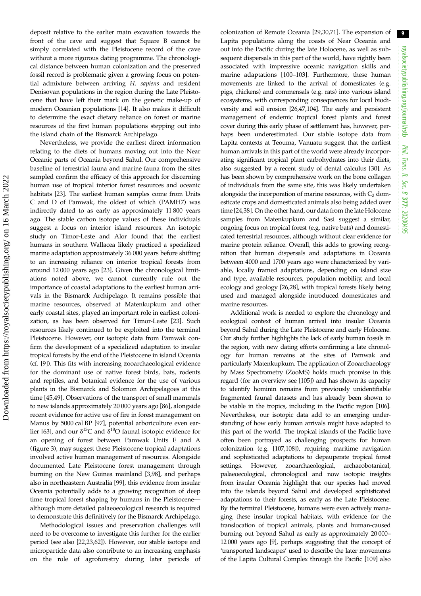deposit relative to the earlier main excavation towards the front of the cave and suggest that Square B cannot be simply correlated with the Pleistocene record of the cave without a more rigorous dating programme. The chronological distance between human colonization and the preserved fossil record is problematic given a growing focus on potential admixture between arriving H. sapiens and resident Denisovan populations in the region during the Late Pleistocene that have left their mark on the genetic make-up of modern Oceanian populations [\[14](#page-10-0)]. It also makes it difficult to determine the exact dietary reliance on forest or marine resources of the first human populations stepping out into the island chain of the Bismarck Archipelago.

Nevertheless, we provide the earliest direct information relating to the diets of humans moving out into the Near Oceanic parts of Oceania beyond Sahul. Our comprehensive baseline of terrestrial fauna and marine fauna from the sites sampled confirm the efficacy of this approach for discerning human use of tropical interior forest resources and oceanic habitats [\[23](#page-10-0)]. The earliest human samples come from Units C and D of Pamwak, the oldest of which (PAMH7) was indirectly dated to as early as approximately 11 800 years ago. The stable carbon isotope values of these individuals suggest a focus on interior island resources. An isotopic study on Timor-Leste and Alor found that the earliest humans in southern Wallacea likely practiced a specialized marine adaptation approximately 36 000 years before shifting to an increasing reliance on interior tropical forests from around 12 000 years ago [\[23](#page-10-0)]. Given the chronological limitations noted above, we cannot currently rule out the importance of coastal adaptations to the earliest human arrivals in the Bismarck Archipelago. It remains possible that marine resources, observed at Matenkupkum and other early coastal sites, played an important role in earliest colonization, as has been observed for Timor-Leste [[23\]](#page-10-0). Such resources likely continued to be exploited into the terminal Pleistocene. However, our isotopic data from Pamwak confirm the development of a specialized adaptation to insular tropical forests by the end of the Pleistocene in island Oceania (cf. [\[9\]](#page-9-0)). This fits with increasing zooarchaeological evidence for the dominant use of native forest birds, bats, rodents and reptiles, and botanical evidence for the use of various plants in the Bismarck and Solomon Archipelagoes at this time [\[45](#page-10-0),[49\]](#page-10-0). Observations of the transport of small mammals to new islands approximately 20 000 years ago [\[86](#page-11-0)], alongside recent evidence for active use of fire in forest management on Manus by 5000 cal BP [[97](#page-12-0)], potential arboriculture even ear-lier [\[63](#page-11-0)], and our  $\delta^{13}$ C and  $\delta^{18}$ O faunal isotopic evidence for an opening of forest between Pamwak Units E and A [\(figure 3](#page-6-0)), may suggest these Pleistocene tropical adaptations involved active human management of resources. Alongside documented Late Pleistocene forest management through burning on the New Guinea mainland [[3](#page-9-0),[98\]](#page-12-0), and perhaps also in northeastern Australia [\[99](#page-12-0)], this evidence from insular Oceania potentially adds to a growing recognition of deep time tropical forest shaping by humans in the Pleistocene although more detailed palaeoecological research is required to demonstrate this definitively for the Bismarck Archipelago.

Methodological issues and preservation challenges will need to be overcome to investigate this further for the earlier period (see also [\[22,23](#page-10-0),[62\]](#page-11-0)). However, our stable isotope and microparticle data also contribute to an increasing emphasis on the role of agroforestry during later periods of colonization of Remote Oceania [[29](#page-10-0),[30,](#page-10-0)[71](#page-11-0)]. The expansion of Lapita populations along the coasts of Near Oceania and out into the Pacific during the late Holocene, as well as subsequent dispersals in this part of the world, have rightly been associated with impressive oceanic navigation skills and marine adaptations [\[100](#page-12-0)–[103\]](#page-12-0). Furthermore, these human movements are linked to the arrival of domesticates (e.g. pigs, chickens) and commensals (e.g. rats) into various island ecosystems, with corresponding consequences for local biodiversity and soil erosion [[26,47,](#page-10-0)[104](#page-12-0)]. The early and persistent management of endemic tropical forest plants and forest cover during this early phase of settlement has, however, perhaps been underestimated. Our stable isotope data from Lapita contexts at Teouma, Vanuatu suggest that the earliest human arrivals in this part of the world were already incorporating significant tropical plant carbohydrates into their diets, also suggested by a recent study of dental calculus [[30](#page-10-0)]. As has been shown by comprehensive work on the bone collagen of individuals from the same site, this was likely undertaken alongside the incorporation of marine resources, with  $C_3$  domesticate crops and domesticated animals also being added over time [[24](#page-10-0),[38](#page-10-0)]. On the other hand, our data from the late Holocene samples from Matenkupkum and Sasi suggest a similar, ongoing focus on tropical forest (e.g. native bats) and domesticated terrestrial resources, although without clear evidence for marine protein reliance. Overall, this adds to growing recognition that human dispersals and adaptations in Oceania between 4000 and 1700 years ago were characterized by variable, locally framed adaptations, depending on island size and type, available resources, population mobility, and local ecology and geology [[26,28\]](#page-10-0), with tropical forests likely being used and managed alongside introduced domesticates and marine resources.

Additional work is needed to explore the chronology and ecological context of human arrival into insular Oceania beyond Sahul during the Late Pleistocene and early Holocene. Our study further highlights the lack of early human fossils in the region, with new dating efforts confirming a late chronology for human remains at the sites of Pamwak and particularly Matenkupkum. The application of Zooarchaeology by Mass Spectrometry (ZooMS) holds much promise in this regard (for an overview see [\[105](#page-12-0)]) and has shown its capacity to identify hominin remains from previously unidentifiable fragmented faunal datasets and has already been shown to be viable in the tropics, including in the Pacific region [[106\]](#page-12-0). Nevertheless, our isotopic data add to an emerging understanding of how early human arrivals might have adapted to this part of the world. The tropical islands of the Pacific have often been portrayed as challenging prospects for human colonization (e.g. [[107,108\]](#page-12-0)), requiring maritime navigation and sophisticated adaptations to depauperate tropical forest settings. However, zooarchaeological, archaeobotanical, palaeoecological, chronological and now isotopic insights from insular Oceania highlight that our species had moved into the islands beyond Sahul and developed sophisticated adaptations to their forests, as early as the Late Pleistocene. By the terminal Pleistocene, humans were even actively managing these insular tropical habitats, with evidence for the translocation of tropical animals, plants and human-caused burning out beyond Sahul as early as approximately 20 000– 12 000 years ago [\[9](#page-9-0)], perhaps suggesting that the concept of 'transported landscapes' used to describe the later movements of the Lapita Cultural Complex through the Pacific [\[109](#page-12-0)] also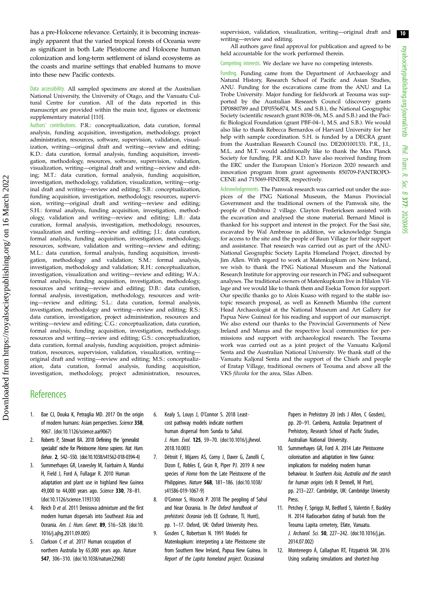<span id="page-9-0"></span>has a pre-Holocene relevance. Certainly, it is becoming increasingly apparent that the varied tropical forests of Oceania were as significant in both Late Pleistocene and Holocene human colonization and long-term settlement of island ecosystems as the coasts and marine settings that enabled humans to move into these new Pacific contexts.

Data accessibility. All sampled specimens are stored at the Australian National University, the University of Otago, and the Vanuatu Cultural Centre for curation. All of the data reported in this manuscript are provided within the main text, figures or electronic supplementary material [[110](#page-12-0)].

Authors' contributions. P.R.: conceptualization, data curation, formal analysis, funding acquisition, investigation, methodology, project administration, resources, software, supervision, validation, visualization, writing—original draft and writing—review and editing; K.D.: data curation, formal analysis, funding acquisition, investigation, methodology, resources, software, supervision, validation, visualization, writing—original draft and writing—review and editing; M.T.: data curation, formal analysis, funding acquisition, investigation, methodology, validation, visualization, writing—original draft and writing—review and editing; S.B.: conceptualization, funding acquisition, investigation, methodology, resources, supervision, writing—original draft and writing—review and editing; S.H.: formal analysis, funding acquisition, investigation, methodology, validation and writing—review and editing; L.B.: data curation, formal analysis, investigation, methodology, resources, visualization and writing—review and editing; J.I.: data curation, formal analysis, funding acquisition, investigation, methodology, resources, software, validation and writing—review and editing; M.L.: data curation, formal analysis, funding acquisition, investigation, methodology and validation; S.M.: formal analysis, investigation, methodology and validation; R.H.: conceptualization, investigation, visualization and writing—review and editing; W.A.: formal analysis, funding acquisition, investigation, methodology, resources and writing—review and editing; D.B.: data curation, formal analysis, investigation, methodology, resources and writing—review and editing; S.L.: data curation, formal analysis, investigation, methodology and writing—review and editing; R.S.: data curation, investigation, project administration, resources and writing—review and editing; C.G.: conceptualization, data curation, formal analysis, funding acquisition, investigation, methodology, resources and writing—review and editing; G.S.: conceptualization, data curation, formal analysis, funding acquisition, project administration, resources, supervision, validation, visualization, writing original draft and writing—review and editing; M.S.: conceptualization, data curation, formal analysis, funding acquisition, investigation, methodology, project administration, resources,

supervision, validation, visualization, writing—original draft and writing—review and editing.

All authors gave final approval for publication and agreed to be held accountable for the work performed therein.

Competing interests. We declare we have no competing interests.

Funding. Funding came from the Department of Archaeology and Natural History, Research School of Pacific and Asian Studies, ANU. Funding for the excavations came from the ANU and La Trobe University. Major funding for fieldwork at Teouma was supported by the Australian Research Council (discovery grants DP0880789 and DP0556874, M.S. and S.B.), the National Geographic Society (scientific research grant 8038–06, M.S. and S.B.) and the Pacific Biological Foundation (grant PBF-04–1, M.S. and S.B.). We would also like to thank Rebecca Bernardos of Harvard University for her help with sample coordination. S.H. is funded by a DECRA grant from the Australian Research Council (no. DE200100133). P.R., J.I., M.L. and M.T. would additionally like to thank the Max Planck Society for funding. P.R. and K.D. have also received funding from the ERC under the European Union's Horizon 2020 research and innovation program from grant agreements 850709-PANTROPO-CENE and 715069-FINDER, respectively.

Acknowledgements. The Pamwak research was carried out under the auspices of the PNG National Museum, the Manus Provincial Government and the traditional owners of the Pamwak site, the people of Drabitou 2 village. Clayton Fredericksen assisted with the excavation and analysed the stone material. Bernard Minol is thanked for his support and interest in the project. For the Sasi site, excavated by Wal Ambrose in addition, we acknowledge Sungia for access to the site and the people of Baun Village for their support and assistance. That research was carried out as part of the ANU-National Geographic Society Lapita Homeland Project, directed by Jim Allen. With regard to work at Matenkupkum on New Ireland, we wish to thank the PNG National Museum and the National Research Institute for approving our research in PNG and subsequent analyses. The traditional owners of Matenkupkum live in Hilalon Village and we would like to thank them and Esekia Tomon for support. Our specific thanks go to Alois Kuaso with regard to the stable isotopic research proposal, as well as Kenneth Miamba (the current Head Archaeologist at the National Museum and Art Gallery for Papua New Guinea) for his reading and support of our manuscript. We also extend our thanks to the Provincial Governments of New Ireland and Manus and the respective local communities for permissions and support with archaeological research. The Teouma work was carried out as a joint project of the Vanuatu Kaljoral Senta and the Australian National University. We thank staff of the Vanuatu Kaljoral Senta and the support of the Chiefs and people of Eratap Village, traditional owners of Teouma and above all the VKS filwoka for the area, Silas Alben.

## **References**

- 1. Bae CJ, Douka K, Petraglia MD. 2017 On the origin of modern humans: Asian perspectives. Science 358 9067. ([doi:10.1126/science.aai9067\)](http://dx.doi.org/10.1126/science.aai9067)
- 2. Roberts P, Stewart BA. 2018 Defining the 'generalist specialist' niche for Pleistocene Homo sapiens. Nat. Hum. Behav. 2, 542–550. [\(doi:10.1038/s41562-018-0394-4\)](https://doi.org/10.1038/s41562-018-0394-4)
- 3. Summerhayes GR, Leavesley M, Fairbairn A, Mandui H, Field J, Ford A, Fullagar R. 2010 Human adaptation and plant use in highland New Guinea 49,000 to 44,000 years ago. Science 330, 78–81. [\(doi:10.1126/science.1193130\)](https://doi.org/10.1126/science.1193130)
- Reich D et al. 2011 Denisova admixture and the first modern human dispersals into Southeast Asia and Oceania. Am. J. Hum. Genet. 89, 516–528. ([doi:10.](http://dx.doi.org/10.1016/j.ajhg.2011.09.005) [1016/j.ajhg.2011.09.005\)](http://dx.doi.org/10.1016/j.ajhg.2011.09.005)
- 5. Clarkson C et al. 2017 Human occupation of northern Australia by 65,000 years ago. Nature 547, 306–310. ([doi:10.1038/nature22968\)](http://dx.doi.org/10.1038/nature22968)
- 6. Kealy S, Louys J, O'Connor S. 2018 Leastcost pathway models indicate northern human dispersal from Sunda to Sahul. J. Hum. Evol. 125, 59–70. ([doi:10.1016/j.jhevol.](http://dx.doi.org/10.1016/j.jhevol.2018.10.003) [2018.10.003\)](http://dx.doi.org/10.1016/j.jhevol.2018.10.003)
- 7. Détroit F, Mijares AS, Corny J, Daver G, Zanolli C, Dizon E, Robles E, Grün R, Piper PJ. 2019 A new species of Homo from the Late Pleistocene of the Philippines. Nature 568, 181–186. [\(doi:10.1038/](https://doi.org/10.1038/s41586-019-1067-9) [s41586-019-1067-9\)](https://doi.org/10.1038/s41586-019-1067-9)
- 8. O'Connor S, Hiscock P. 2018 The peopling of Sahul and Near Oceania. In The Oxford handbook of prehistoric Oceania (eds EE Cochrane, TL Hunt), pp. 1–17. Oxford, UK: Oxford University Press.
- 9. Gosden C, Robertson N. 1991 Models for Matenkupkum: interpreting a late Pleistocene site from Southern New Ireland, Papua New Guinea. In Report of the Lapita homeland project. Occasional

Papers in Prehistory 20 (eds J Allen, C Gosden), pp. 20–91. Canberra, Australia: Department of Prehistory, Research School of Pacific Studies, Australian National University.

- 10. Summerhayes GR, Ford A. 2014 Late Pleistocene colonisation and adaptation in New Guinea: implications for modeling modern human behaviour. In Southern Asia, Australia and the search for human origins (eds R Dennell, M Porr), pp. 213–227. Cambridge, UK: Cambridge University Press.
- 11. Petchey F, Spriggs M, Bedford S, Valentin F, Buckley H. 2014 Radiocarbon dating of burials from the Teouma Lapita cemetery, Efate, Vanuatu. J. Archaeol. Sci. 50, 227-242. [\(doi:10.1016/j.jas.](http://dx.doi.org/10.1016/j.jas.2014.07.002) [2014.07.002](http://dx.doi.org/10.1016/j.jas.2014.07.002))
- 12. Montenegro Á, Callaghan RT, Fitzpatrick SM. 2016 Using seafaring simulations and shortest-hop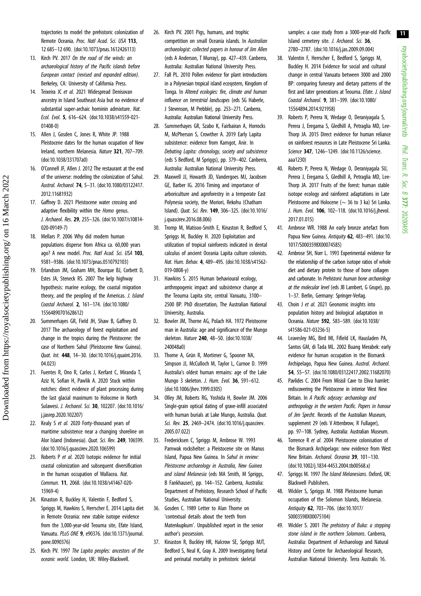royalsocietypublishing.org/journal/rstb royalsocietypublishing.org/journal/rstb Phil. Trans. R. Soc. $\sigma$ 377: 20200495

11

<span id="page-10-0"></span>trajectories to model the prehistoric colonization of Remote Oceania. Proc. Natl Acad. Sci. USA 113, 12 685–12 690. ([doi:10.1073/pnas.1612426113\)](http://dx.doi.org/10.1073/pnas.1612426113)

- 13. Kirch PV. 2017 On the road of the winds: an archaeological history of the Pacific islands before European contact (revised and expanded edition). Berkeley, CA: University of California Press.
- 14. Teixeira JC et al. 2021 Widespread Denisovan ancestry in Island Southeast Asia but no evidence of substantial super-archaic hominin admixture. Nat. Ecol. Evol. 5, 616–624. ([doi:10.1038/s41559-021-](http://dx.doi.org/10.1038/s41559-021-01408-0) [01408-0\)](http://dx.doi.org/10.1038/s41559-021-01408-0)
- 15. Allen J, Gosden C, Jones R, White JP. 1988 Pleistocene dates for the human ocupation of New Ireland, northern Melanesia. Nature 321, 707–709. [\(doi:10.1038/331707a0\)](http://dx.doi.org/10.1038/331707a0)
- 16. O'Connell JF, Allen J. 2012 The restaurant at the end of the universe: modeling the colonization of Sahul. Austral. Archaeol. 74, 5–31. ([doi:10.1080/03122417.](http://dx.doi.org/10.1080/03122417.2012.11681932) [2012.11681932](http://dx.doi.org/10.1080/03122417.2012.11681932))
- 17. Gaffney D. 2021 Pleistocene water crossing and adaptive flexibility within the *Homo* genus. J. Archaeol. Res. 29, 255–326. ([doi:10.1007/s10814-](http://dx.doi.org/10.1007/s10814-020-09149-7) [020-09149-7](http://dx.doi.org/10.1007/s10814-020-09149-7))
- 18. Mellars P. 2006 Why did modern human populations disperse from Africa ca. 60,000 years ago? A new model. Proc. Natl Acad. Sci. USA 103. 9381–9386. [\(doi:10.1073/pnas.0510792103](http://dx.doi.org/10.1073/pnas.0510792103))
- 19. Erlandson JM, Graham MH, Bourque BJ, Corbett D, Estes JA, Steneck RS. 2007 The kelp highway hypothesis: marine ecology, the coastal migration theory, and the peopling of the Americas. J. Island Coastal Archaeol. 2, 161–174. [\(doi:10.1080/](http://dx.doi.org/10.1080/15564890701628612) [15564890701628612](http://dx.doi.org/10.1080/15564890701628612))

Downloaded from https://royalsocietypublishing.org/ on 16 March 2022

Downloaded from https://royalsocietypublishing.org/ on 16 March 2022

- 20. Summerhayes GR, Field JH, Shaw B, Gaffney D. 2017 The archaeology of forest exploitation and change in the tropics during the Pleistocene: the case of Northern Sahul (Pleistocene New Guinea). Quat. Int. 448, 14–30. [\(doi:10.1016/j.quaint.2016.](http://dx.doi.org/10.1016/j.quaint.2016.04.023) [04.023\)](http://dx.doi.org/10.1016/j.quaint.2016.04.023)
- 21. Fuentes R, Ono R, Carlos J, Kerfant C, Miranda T, Aziz N, Sofian H, Pawlik A. 2020 Stuck within notches: direct evidence of plant processing during the last glacial maximum to Holocene in North Sulawesi. J. Archaeol. Sci. 30, 102207. ([doi:10.1016/](http://dx.doi.org/10.1016/j.jasrep.2020.102207) [j.jasrep.2020.102207\)](http://dx.doi.org/10.1016/j.jasrep.2020.102207)
- 22. Kealy S et al. 2020 Forty-thousand years of maritime subsistence near a changing shoreline on Alor Island (Indonesia). Quat. Sci. Rev. 249, 106599. [\(doi:10.1016/j.quascirev.2020.106599\)](http://dx.doi.org/10.1016/j.quascirev.2020.106599)
- 23. Roberts P et al. 2020 Isotopic evidence for initial coastal colonization and subsequent diversification in the human occupation of Wallacea. Nat. Commun. 11, 2068. [\(doi:10.1038/s41467-020-](http://dx.doi.org/10.1038/s41467-020-15969-4) [15969-4\)](http://dx.doi.org/10.1038/s41467-020-15969-4)
- 24. Kinaston R, Buckley H, Valentin F, Bedford S, Spriggs M, Hawkins S, Herrscher E. 2014 Lapita diet in Remote Oceania: new stable isotope evidence from the 3,000-year-old Teouma site, Efate Island, Vanuatu. PLoS ONE 9, e90376. ([doi:10.1371/journal.](https://doi.org/10.1371/journal.pone.0090376) [pone.0090376](https://doi.org/10.1371/journal.pone.0090376))
- 25. Kirch PV. 1997 The Lapita peoples: ancestors of the oceanic world. London, UK: Wiley-Blackwell.
- 26. Kirch PV. 2001 Pigs, humans, and trophic competition on small Oceania islands. In Australian archaeologist: collected papers in honour of Jim Allen (eds A Anderson, T Murray), pp. 427–439. Canberra, Australia: Australian National University Press.
- 27. Fall PL. 2010 Pollen evidence for plant introductions in a Polynesian tropical island ecosystem, Kingdom of Tonga. In Altered ecologies: fire, climate and human influence on terrestrial landscapes (eds SG Haberle, J Stevenson, M Prebble), pp. 253–271. Canberra, Australia: Australian National University Press.
- 28. Summerhayes GR, Szabo K, Fairbairan A, Horrocks M, McPherson S, Crowther A. 2019 Early Lapita subsistence: evidence from Kamgot, Anir. In Debating Lapita: chronology, society and subsistence (eds S Bedford, M Spriggs), pp. 379–402. Canberra, Australia: Australian National University Press.
- 29. Maxwell JJ, Howarth JD, Vandergoes MJ, Jacobsen GE, Barber IG. 2016 Timing and importance of arboriculture and agroforestry in a temperate East Polynesia society, the Moriori, Rekohu (Chatham Island). Quat. Sci. Rev. 149, 306–325. [\(doi:10.1016/](https://doi.org/10.1016/j.quascirev.2016.08.006) [j.quascirev.2016.08.006\)](https://doi.org/10.1016/j.quascirev.2016.08.006)
- 30. Tromp M, Matisoo-Smith E, Kinaston R, Bedford S, Spriggs M, Buckley H. 2020 Exploitation and utilization of tropical rainforests indicated in dental calculus of ancient Oceania Lapita culture colonists. Nat. Hum. Behav. 4, 489–495. ([doi:10.1038/s41562-](http://dx.doi.org/10.1038/s41562-019-0808-y) [019-0808-y](http://dx.doi.org/10.1038/s41562-019-0808-y))
- 31. Hawkins S. 2015 Human behavioural ecology, anthropogenic impact and subsistence change at the Teouma Lapita site, central Vanuatu, 3100– 2500 BP. PhD dissertation, The Australian National University, Australia.
- 32. Bowler JM, Thorne AG, Polach HA. 1972 Pleistocene man in Australia: age and significance of the Mungo skeleton. Nature 240, 48–50. ([doi:10.1038/](http://dx.doi.org/10.1038/240048a0) [240048a0\)](http://dx.doi.org/10.1038/240048a0)
- 33. Thorne A, Grün R, Mortimer G, Spooner NA, Simpson JJ, McCulloch M, Taylor L, Curnoe D. 1999 Australia's oldest human remains: age of the Lake Mungo 3 skeleton. J. Hum. Evol. 36, 591-612. [\(doi:10.1006/jhev.1999.0305\)](http://dx.doi.org/10.1006/jhev.1999.0305)
- 34. Olley JM, Roberts RG, Yoshida H, Bowler JM. 2006 Single-grain optical dating of grave-infill associated with human burials at Lake Mungo, Australia. Quat. Sci. Rev. 25, 2469-2474. [\(doi:10.1016/j.quascirev.](http://dx.doi.org/10.1016/j.quascirev.2005.07.022) [2005.07.022\)](http://dx.doi.org/10.1016/j.quascirev.2005.07.022)
- 35. Fredericksen C, Spriggs M, Ambrose W. 1993 Pamwak rockshelter: a Pleistocene site on Manus Island, Papua New Guinea. In Sahul in review: Pleistocene archaeology in Australia, New Guinea and island Melanesia (eds MA Smith, M Spriggs, B Fankhauser), pp. 144–152. Canberra, Australia: Department of Prehistory, Research School of Pacific Studies, Australian National University.
- 36. Gosden C. 1989 Letter to Alan Thorne on 'contextual details about the teeth from Matenkupkum'. Unpublished report in the senior author's possession.
- 37. Kinaston R, Buckley HR, Halcrow SE, Spriggs MJT, Bedford S, Neal K, Gray A. 2009 Investigating foetal and perinatal mortality in prehistoric skeletal

samples: a case study from a 3000-year-old Pacific Island cemetery site. J. Archaeol. Sci. 36, 2780–2787. [\(doi:10.1016/j.jas.2009.09.004\)](http://dx.doi.org/10.1016/j.jas.2009.09.004)

- 38. Valentin F, Herrscher E, Bedford S, Spriggs M, Buckley H. 2014 Evidence for social and cultural change in central Vanuatu between 3000 and 2000 BP: comparing funerary and dietary patterns of the first and later generations at Teouma. Efate. J. Island Coastal Archaeol. 9, 381–399. ([doi:10.1080/](http://dx.doi.org/10.1080/15564894.2014.921958) [15564894.2014.921958\)](http://dx.doi.org/10.1080/15564894.2014.921958)
- 39. Roberts P, Perera N, Wedage O, Deraniyagala S, Perera J, Eregama S, Gledhill A, Petraglia MD, Lee-Thorp JA. 2015 Direct evidence for human reliance on rainforest resources in Late Pleistocene Sri Lanka. Science 347, 1246-1249. [\(doi:10.1126/science.](https://doi.org/10.1126/science.aaa1230) [aaa1230\)](https://doi.org/10.1126/science.aaa1230)
- 40. Roberts P, Perera N, Wedage O, Deraniyagala SU, Perera J, Eregama S, Gledhill A, Petraglia MD, Lee-Thorp JA. 2017 Fruits of the forest: human stable isotope ecology and rainforest adaptations in Late Pleistocene and Holocene (~ 36 to 3 ka) Sri Lanka. J. Hum. Evol. 106, 102–118. [\(doi:10.1016/j.jhevol.](http://dx.doi.org/10.1016/j.jhevol.2017.01.015) [2017.01.015](http://dx.doi.org/10.1016/j.jhevol.2017.01.015))
- 41. Ambrose WR. 1988 An early bronze artefact from Papua New Guinea. Antiquity 62, 483-491. [\(doi:10.](http://dx.doi.org/10.1017/S0003598X00074585) [1017/S0003598X00074585\)](http://dx.doi.org/10.1017/S0003598X00074585)
- 42. Ambrose SH, Norr L. 1993 Experimental evidence for the relationship of the carbon isotope ratios of whole diet and dietary protein to those of bone collagen and carbonate. In Prehistoric human bone archaeology at the molecular level (eds JB Lambert, G Grupe), pp. 1–37. Berlin, Germany: Springer-Verlag.
- 43. Choin J et al. 2021 Geonomic insights into population history and biological adaptation in Oceania. Nature 592, 583–589. [\(doi:10.1038/](http://dx.doi.org/10.1038/s41586-021-03236-5) [s41586-021-03236-5\)](http://dx.doi.org/10.1038/s41586-021-03236-5)
- 44. Leavesley MG, Bird MI, Fifield LK, Hausladen PA, Santos GM, di Tada ML. 2002 Buang Merabek: early evidence for human occupation in the Bismarck Archipelago, Papua New Guinea. Austral. Archaeol. 54, 55–57. ([doi:10.1080/03122417.2002.11682070](http://dx.doi.org/10.1080/03122417.2002.11682070))
- 45. Pavlides C. 2004 From Misisil Cave to Eliva hamlet: rediscovering the Pleistocene in interior West New Britain. In A Pacific odyssey: archaeology and anthropology in the western Pacific. Papers in honour of Jim Specht. Records of the Australian Museum, supplement 29 (eds V Attenbrow, R Fullager), pp. 97–108. Sydney, Australia: Australian Museum.
- 46. Torrence R et al. 2004 Pleistocene colonisation of the Bismarck Archipelago: new evidence from West New Britain. Archaeol. Oceania 39, 101–130. ([doi:10.1002/j.1834-4453.2004.tb00568.x\)](http://dx.doi.org/10.1002/j.1834-4453.2004.tb00568.x)
- 47. Spriggs M. 1997 The Island Melanesians. Oxford, UK: Blackwell Publishers.
- 48. Wickler S, Spriggs M. 1988 Pleistocene human occupation of the Solomon Islands, Melanesia. Antiquity 62, 703–706. [\(doi:10.1017/](http://dx.doi.org/10.1017/S0003598X00075104) [S0003598X00075104](http://dx.doi.org/10.1017/S0003598X00075104))
- 49. Wickler S. 2001 The prehistory of Buka: a stepping stone island in the northern Solomons. Canberra, Australia: Department of Archaeology and Natural History and Centre for Archaeological Research, Australian National University. Terra Australis 16.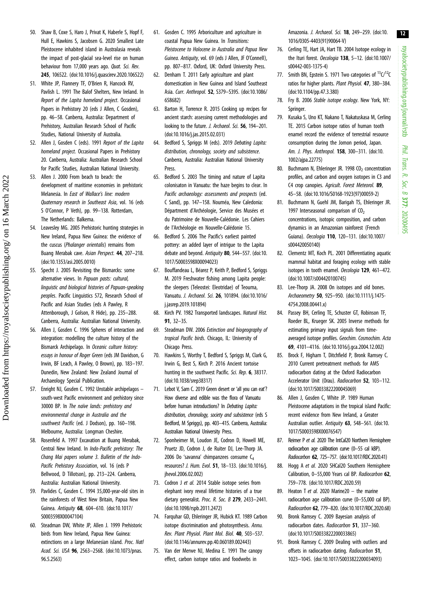- <span id="page-11-0"></span>50. Shaw B, Coxe S, Haro J, Privat K, Haberle S, Hopf F, Hull E, Hawkins S, Jacobsen G. 2020 Smallest Late Pleistocene inhabited island in Australasia reveals the impact of post-glacial sea-level rise on human behaviour from 17,000 years ago. Quat. Sci. Rev. 245, 106522. ([doi:10.1016/j.quascirev.2020.106522\)](http://dx.doi.org/10.1016/j.quascirev.2020.106522)
- 51. White JP, Flannery TF, O'Brien R, Hancock RV, Pavlish L. 1991 The Balof Shelters, New Ireland. In Report of the Lapita homeland project. Occasional Papers in Prehistory 20 (eds J Allen, C Gosden), pp. 46–58. Canberra, Australia: Department of Prehistory, Australian Research School of Pacific Studies, National University of Australia.
- 52. Allen J, Gosden C (eds). 1991 Report of the Lapita homeland project. Occasional Papers in Prehistory 20. Canberra, Australia: Australian Research School for Pacific Studies, Australian National University.
- 53. Allen J. 2000 From beach to beach: the development of maritime economies in prehistoric Melanesia. In East of Wallace's line: modern Quaternary research in Southeast Asia, vol. 16 (eds S O'Connor, P Veth), pp. 99–138. Rotterdam, The Netherlands: Balkema.
- 54. Leavesley MG. 2005 Prehistoric hunting strategies in New Ireland, Papua New Guinea: the evidence of the cuscus (*Phalanger orientalis*) remains from Buang Merabak cave. Asian Perspect. 44, 207–218. [\(doi:10.1353/asi.2005.0010\)](http://dx.doi.org/10.1353/asi.2005.0010)
- 55. Specht J. 2005 Revisiting the Bismarcks: some alternative views. In Papuan pasts: cultural, linguistic and biological histories of Papuan-speaking peoples. Pacific Linguistics 572, Research School of Pacific and Asian Studies (eds A Pawley, R Attenborough, J Golson, R Hide), pp. 235–288. Canberra, Australia: Australian National University.
- 56. Allen J, Gosden C. 1996 Spheres of interaction and integration: modelling the culture history of the Bismarck Archipelago. In Oceanic culture history: essays in honour of Roger Green (eds JM Davidson, G Irwin, BF Leach, A Pawley, O Brown), pp. 183–197. Dunedin, New Zealand: New Zealand Journal of Archaeology Special Publication.
- 57. Enright NJ, Gosden C. 1992 Unstable archipelagos south-west Pacific environment and prehistory since 30000 BP. In The naïve lands: prehistory and environmental change in Australia and the southwest Pacific (ed. J Dodson), pp. 160–198. Melbourne, Australia: Longman Cheshire.
- 58. Rosenfeld A. 1997 Excavation at Buang Merabak, Central New Ireland. In Indo-Pacific prehistory: The Chang Mai papers volume 3. Bulletin of the Indo-Pacific Prehistory Association, vol. 16 (eds P Bellwood, D Tillotson), pp. 213–224. Canberra, Australia: Australian National University.
- 59. Pavlides C, Gosden C. 1994 35,000-year-old sites in the rainforests of West New Britain, Papua New Guinea. Antiquity 68, 604–610. [\(doi:10.1017/](http://dx.doi.org/10.1017/S0003598X00047104) [S0003598X00047104](http://dx.doi.org/10.1017/S0003598X00047104))
- 60. Steadman DW, White JP, Allen J. 1999 Prehistoric birds from New Ireland, Papua New Guinea: extinctions on a large Melanesian island. Proc. Natl Acad. Sci. USA 96, 2563-2568. ([doi:10.1073/pnas.](http://dx.doi.org/10.1073/pnas.96.5.2563) [96.5.2563](http://dx.doi.org/10.1073/pnas.96.5.2563))
- 61. Gosden C. 1995 Arboriculture and agriculture in coastal Papua New Guinea. In Transitions: Pleistocene to Holocene in Australia and Papua New Guinea. Antiquity, vol. 69 (eds J Allen, JF O'Connell), pp. 807–817. Oxford, UK: Oxford University Press.
- 62. Denham T. 2011 Early agriculture and plant domestication in New Guinea and Island Southeast Asia. Curr. Anthropol. 52, S379–S395. [\(doi:10.1086/](http://dx.doi.org/10.1086/658682) [658682](http://dx.doi.org/10.1086/658682))
- 63. Barton H, Torrence R. 2015 Cooking up recipes for ancient starch: assessing current methodologies and looking to the future. J. Archaeol. Sci. 56, 194-201. [\(doi:10.1016/j.jas.2015.02.031\)](http://dx.doi.org/10.1016/j.jas.2015.02.031)
- 64. Bedford S, Spriggs M (eds). 2019 Debating Lapita: distribution, chronology, society and subsistence. Canberra, Australia: Australian National University Press.
- 65. Bedford S. 2003 The timing and nature of Lapita colonisaton in Vanuatu: the haze begins to clear. In Pacific archaeology: assessments and prospects (ed. C Sand), pp. 147–158. Nouméa, New Caledonia: Départment d'Archéologie, Service des Musées et du Patrimoine de Nouvelle-Calédonie. Les Cahiers de l'Archéologie en Nouvelle-Calédonie 15.
- 66. Bedford S. 2006 The Pacific's earliest painted pottery: an added layer of intrigue to the Lapita debate and beyond. Antiquity 80, 544-557. [\(doi:10.](https://doi.org/10.1017/S0003598X00094023) [1017/S0003598X00094023](https://doi.org/10.1017/S0003598X00094023))
- 67. Bouffandeau L, Béarez P, Keith P, Bedford S, Spriggs M. 2019 Freshwater fishing among Lapita people: the sleepers (Teleostei: Eleotridae) of Teouma, Vanuatu. J. Archaeol. Sci. 26, 101894. [\(doi:10.1016/](http://dx.doi.org/10.1016/j.jasrep.2019.101894) [j.jasrep.2019.101894](http://dx.doi.org/10.1016/j.jasrep.2019.101894))
- 68. Kirch PV. 1982 Transported landscapes. Natural Hist. 91, 32–35.
- 69. Steadman DW. 2006 Extinction and biogeography of tropical Pacific birds. Chicago, IL: University of Chicago Press.
- 70. Hawkins S, Worthy T, Bedford S, Spriggs M, Clark G, Irwin G, Best S, Kirch P. 2016 Ancient tortoise hunting in the southwest Pacific. Sci. Rep. 6, 38317. [\(doi:10.1038/srep38317\)](https://doi.org/10.1038/srep38317)
- 71. Lebot V, Sam C. 2019 Green desert or 'all you can eat'? How diverse and edible was the flora of Vanuatu before human introductions? In *Debating Lapita:* distribution, chronology, society and subsistence (eds S Bedford, M Spriggs), pp. 403–415. Canberra, Australia: Australian National University Press.
- 72. Sponheimer M, Loudon JE, Codron D, Howell ME, Pruetz JD, Codron J, de Ruiter DJ, Lee-Thorp JA. 2006 Do 'savanna' chimpanzees consume C4 resources? J. Hum. Evol. 51, 18–133. [\(doi:10.1016/j.](http://dx.doi.org/10.1016/j.jhevol.2006.02.002) ihevol.2006.02.002)
- 73. Codron J et al. 2014 Stable isotope series from elephant ivory reveal lifetime histories of a true dietary generalist. Proc. R. Soc. B 279, 2433–2441. [\(doi:10.1098/rspb.2011.2472\)](https://doi.org/10.1098/rspb.2011.2472)
- 74. Farquhar GD, Ehleringer JR, Hubick KT. 1989 Carbon isotope discrimination and photosynthesis. Annu. Rev. Plant Physiol. Plant Mol. Biol. 40, 503–537. [\(doi:10.1146/annurev.pp.40.060189.002443\)](http://dx.doi.org/10.1146/annurev.pp.40.060189.002443)
- 75. Van der Merwe NJ, Medina E. 1991 The canopy effect, carbon isotope ratios and foodwebs in

Amazonia. J. Archaeol. Sci. **18**, 249-259. ([doi:10.](http://dx.doi.org/10.1016/0305-4403(91)90064-V) [1016/0305-4403\(91\)90064-V](http://dx.doi.org/10.1016/0305-4403(91)90064-V))

- 76. Cerling TE, Hart JA, Hart TB. 2004 Isotope ecology in the Ituri forest. Oecologia 138, 5-12. [\(doi:10.1007/](http://dx.doi.org/10.1007/s00442-003-1375-4) [s00442-003-1375-4](http://dx.doi.org/10.1007/s00442-003-1375-4))
- 77. Smith BN, Epstein S. 1971 Two categories of  $^{13}C/^{12}C$ ratios for higher plants. Plant Physiol. 47, 380–384. ([doi:10.1104/pp.47.3.380\)](http://dx.doi.org/10.1104/pp.47.3.380)
- 78. Fry B. 2006 Stable isotope ecology. New York, NY: Springer.
- 79. Kusaka S, Uno KT, Nakano T, Nakatuskasa M, Cerling TE. 2015 Carbon isotope ratios of human tooth enamel record the evidence of terrestrial resource consumption during the Jomon period, Japan. Am. J. Phys. Anthropol. 158, 300–311. ([doi:10.](http://dx.doi.org/10.1002/ajpa.22775) [1002/ajpa.22775\)](http://dx.doi.org/10.1002/ajpa.22775)
- 80. Buchmann N, Ehleringer JR. 1998 CO<sub>2</sub> concentration profiles, and carbon and oxygen isotopes in C3 and C4 crop canopies. Agricult. Forest Meteorol. 89, 45–58. ([doi:10.1016/S0168-1923\(97\)00059-2\)](http://dx.doi.org/10.1016/S0168-1923(97)00059-2)
- 81. Buchmann N, Guehl JM, Barigah TS, Ehleringer JR. 1997 Interseasonal comparison of  $CO<sub>2</sub>$ concentrations, isotopic composition, and carbon dynamics in an Amazonian rainforest (French Guiana). Oecologia 110, 120–131. [\(doi:10.1007/](http://dx.doi.org/10.1007/s004420050140) [s004420050140\)](http://dx.doi.org/10.1007/s004420050140)
- 82. Clementz MT, Koch PL. 2001 Differentiating aquatic mammal habitat and foraging ecology with stable isotopes in tooth enamel. Oecologia 129, 461-472. ([doi:10.1007/s004420100745\)](http://dx.doi.org/10.1007/s004420100745)
- 83. Lee-Thorp JA. 2008 On isotopes and old bones. Archaeometry 50, 925–950. ([doi:10.1111/j.1475-](http://dx.doi.org/10.1111/j.1475-4754.2008.00441.x) [4754.2008.00441.x\)](http://dx.doi.org/10.1111/j.1475-4754.2008.00441.x)
- 84. Passey BH, Cerling TE, Schuster GT, Robinson TF, Roeder BL, Krueger SK. 2005 Inverse methods for estimating primary input signals from timeaveraged isotope profiles. Geochim. Cosmochim. Acta 69, 4101–4116. [\(doi:10.1016/j.gca.2004.12.002](http://dx.doi.org/10.1016/j.gca.2004.12.002))
- 85. Brock F, Higham T, Ditchfield P, Bronk Ramsey C. 2010 Current pretreatment methods for AMS radiocarbon dating at the Oxford Radiocarbon Accelerator Unit (Orau). Radiocarbon 52, 103–112. ([doi:10.1017/S0033822200045069\)](http://dx.doi.org/10.1017/S0033822200045069)
- 86. Allen J, Gosden C, White JP. 1989 Human Pleistocene adaptations in the tropical island Pacific: recent evidence from New Ireland, a Greater Australian outlier. Antiquity 63, 548-561. ([doi:10.](http://dx.doi.org/10.1017/S0003598X00076547) [1017/S0003598X00076547\)](http://dx.doi.org/10.1017/S0003598X00076547)
- 87. Reimer P et al. 2020 The IntCal20 Northern Hemisphere radiocarbon age calibration curve (0–55 cal kBP). Radiocarbon 62, 725–757. [\(doi:10.1017/RDC.2020.41](http://dx.doi.org/10.1017/RDC.2020.41))
- 88. Hogg A et al. 2020 SHCal20 Southern Hemisphere Calibration, 0–55,000 Years cal BP. Radiocarbon 62, 759–778. [\(doi:10.1017/RDC.2020.59](http://dx.doi.org/10.1017/RDC.2020.59))
- 89. Heaton T et al. 2020 Marine20 the marine radiocarbon age calibration curve (0–55,000 cal BP). Radiocarbon 62, 779–820. ([doi:10.1017/RDC.2020.68](http://dx.doi.org/10.1017/RDC.2020.68))
- 90. Bronk Ramsey C. 2009 Bayesian analysis of radiocarbon dates. Radiocarbon 51, 337–360. ([doi:10.1017/S0033822200033865\)](http://dx.doi.org/10.1017/S0033822200033865)
- 91. Bronk Ramsey C. 2009 Dealing with outliers and offsets in radiocarbon dating. Radiocarbon 51, 1023–1045. [\(doi:10.1017/S0033822200034093\)](http://dx.doi.org/10.1017/S0033822200034093)